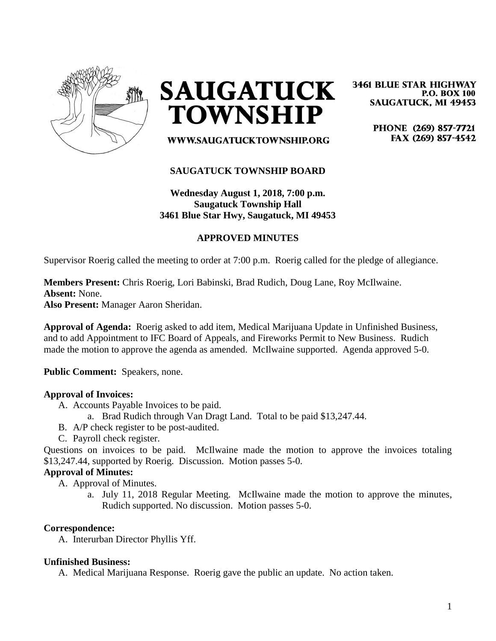

**SAUGATUCK TOWNSHIP** 

**3461 BLUE STAR HIGHWAY P.O. BOX 100 SAUGATUCK, MI 49453** 

> PHONE (269) 857-7721 FAX (269) 857-4542

# **SAUGATUCK TOWNSHIP BOARD**

WWW.SAUGATUCKTOWNSHIP.ORG

**Wednesday August 1, 2018, 7:00 p.m. Saugatuck Township Hall 3461 Blue Star Hwy, Saugatuck, MI 49453**

## **APPROVED MINUTES**

Supervisor Roerig called the meeting to order at 7:00 p.m. Roerig called for the pledge of allegiance.

**Members Present:** Chris Roerig, Lori Babinski, Brad Rudich, Doug Lane, Roy McIlwaine. **Absent:** None. **Also Present:** Manager Aaron Sheridan.

**Approval of Agenda:** Roerig asked to add item, Medical Marijuana Update in Unfinished Business, and to add Appointment to IFC Board of Appeals, and Fireworks Permit to New Business. Rudich made the motion to approve the agenda as amended. McIlwaine supported. Agenda approved 5-0.

**Public Comment:** Speakers, none.

#### **Approval of Invoices:**

- A. Accounts Payable Invoices to be paid.
	- a. Brad Rudich through Van Dragt Land. Total to be paid \$13,247.44.
- B. A/P check register to be post-audited.
- C. Payroll check register.

Questions on invoices to be paid. McIlwaine made the motion to approve the invoices totaling \$13,247.44, supported by Roerig. Discussion. Motion passes 5-0.

### **Approval of Minutes:**

A. Approval of Minutes.

a. July 11, 2018 Regular Meeting. McIlwaine made the motion to approve the minutes, Rudich supported. No discussion. Motion passes 5-0.

#### **Correspondence:**

A. Interurban Director Phyllis Yff.

#### **Unfinished Business:**

A. Medical Marijuana Response. Roerig gave the public an update. No action taken.